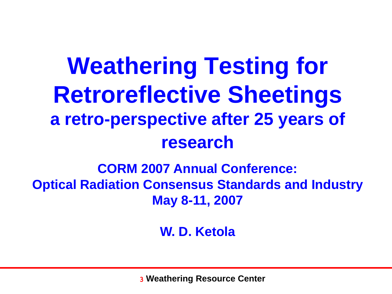### **Weathering Testing for Retroreflective Sheetings a retro-perspective after 25 years of research**

#### **CORM 2007 Annual Conference: Optical Radiation Consensus Standards and Industry May 8-11, 2007**

**W. D. Ketola**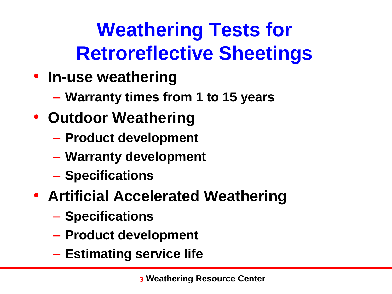### **Weathering Tests for Retroreflective Sheetings**

- **In-use weathering**
	- **Warranty times from 1 to 15 years**
- **Outdoor Weathering**
	- **Product development**
	- **Warranty development**
	- **Specifications**
- **Artificial Accelerated Weathering**
	- **Specifications**
	- **Product development**
	- **Estimating service life**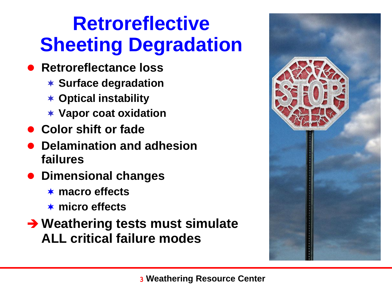### **Retroreflective Sheeting Degradation**

- **Retroreflectance loss** 
	- **Surface degradation**
	- **Optical instability**
	- **Vapor coat oxidation**
- **Color shift or fade**
- **Delamination and adhesion failures**
- **Dimensional changes**
	- **macro effects**
	- **micro effects**
- **Weathering tests must simulate ALL critical failure modes**

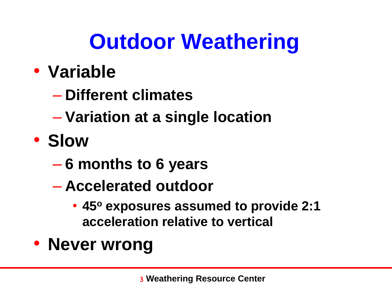# **Outdoor Weathering**

### • **Variable**

- **Different climates**
- **Variation at a single location**
- **Slow**
	- **6 months to 6 years**
	- **Accelerated outdoor**
		- **45<sup>o</sup> exposures assumed to provide 2:1 acceleration relative to vertical**
- **Never wrong**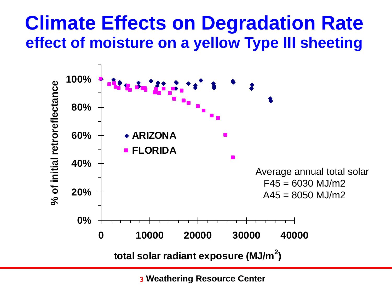#### **Climate Effects on Degradation Rate effect of moisture on a yellow Type III sheeting**

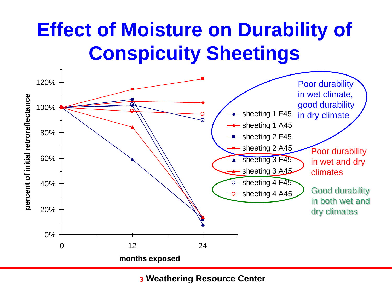### **Effect of Moisture on Durability of Conspicuity Sheetings**

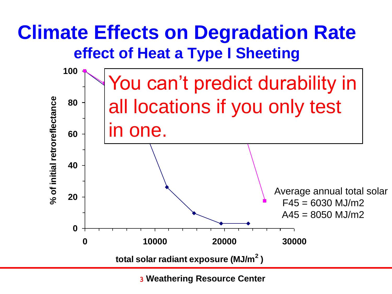### **Climate Effects on Degradation Rate effect of Heat a Type I Sheeting**

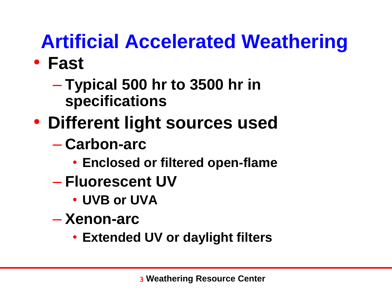### **Artificial Accelerated Weathering**

- **Fast**
	- **Typical 500 hr to 3500 hr in specifications**
- **Different light sources used**
	- **Carbon-arc**
		- **Enclosed or filtered open-flame**
	- **Fluorescent UV**
		- **UVB or UVA**
	- **Xenon-arc**
		- **Extended UV or daylight filters**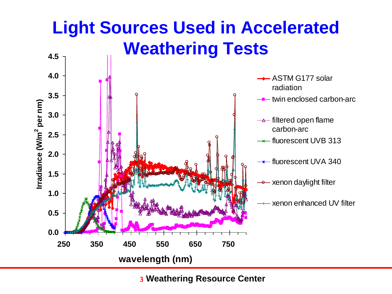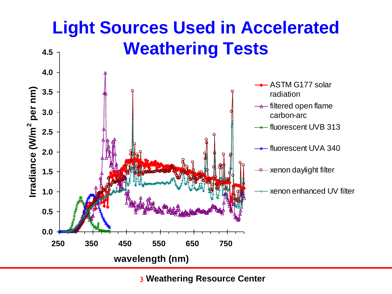#### **Light Sources Used in Accelerated Weathering Tests 4.5**

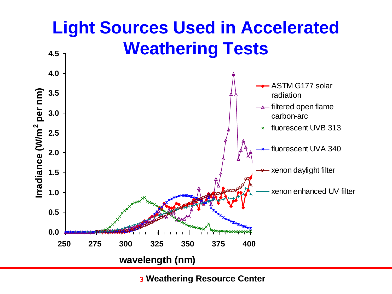#### **Light Sources Used in Accelerated Weathering Tests 0.0 0.5 1.0 1.5 2.0 2.5 3.0 3.5 4.0 4.5 250 275 300 325 350 375 400 wavelength (nm) Irradiance (W/m 2 per nm)** ASTM G177 solar radiation  $\rightarrow$  filtered open flame carbon-arc  $\rightarrow$  fluorescent UVB 313 fluorescent UVA 340 xenon daylight filter xenon enhanced UV filter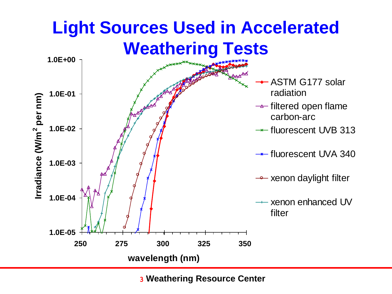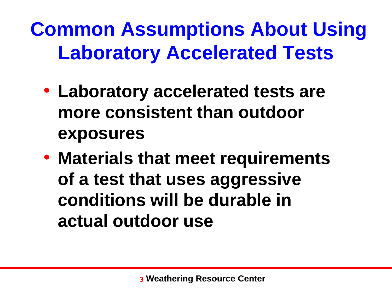**Common Assumptions About Using Laboratory Accelerated Tests**

- **Laboratory accelerated tests are more consistent than outdoor exposures**
- **Materials that meet requirements of a test that uses aggressive conditions will be durable in actual outdoor use**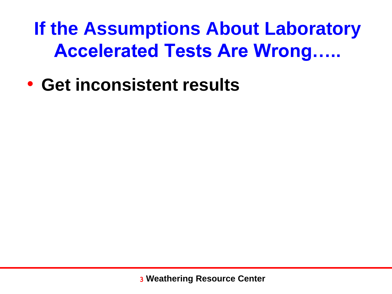**If the Assumptions About Laboratory Accelerated Tests Are Wrong…..**

• **Get inconsistent results**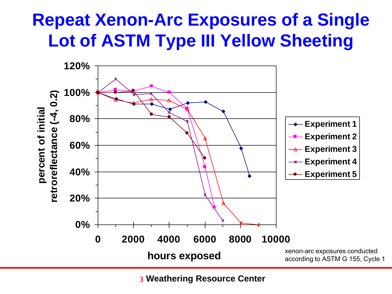#### **Repeat Xenon-Arc Exposures of a Single Lot of ASTM Type III Yellow Sheeting**

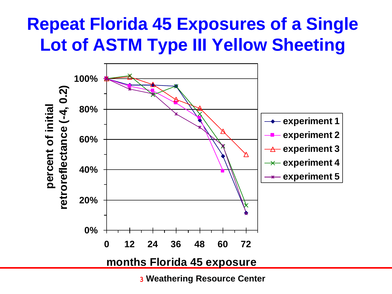#### **Repeat Florida 45 Exposures of a Single Lot of ASTM Type III Yellow Sheeting**

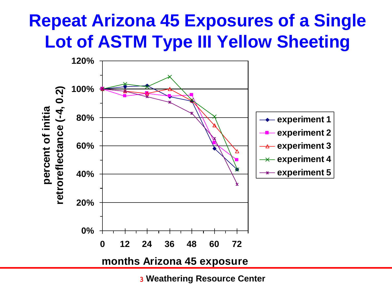### **Repeat Arizona 45 Exposures of a Single Lot of ASTM Type III Yellow Sheeting**

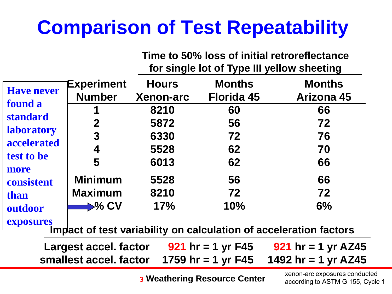### **Comparison of Test Repeatability**

**Time to 50% loss of initial retroreflectance for single lot of Type III yellow sheeting**

| <b>Have never</b>                                                                          | Experiment<br><b>Number</b> | <b>Hours</b><br><b>Xenon-arc</b> | <b>Months</b><br><b>Florida 45</b> | <b>Months</b><br><b>Arizona 45</b> |
|--------------------------------------------------------------------------------------------|-----------------------------|----------------------------------|------------------------------------|------------------------------------|
| found a                                                                                    |                             | 8210                             | 60                                 | 66                                 |
| <b>standard</b>                                                                            | $\mathbf 2$                 | 5872                             | 56                                 | 72                                 |
| <b>laboratory</b>                                                                          | $\mathbf{3}$                | 6330                             | 72                                 | 76                                 |
| accelerated                                                                                | 4                           | 5528                             | 62                                 | 70                                 |
| test to be                                                                                 | 5                           | 6013                             | 62                                 | 66                                 |
| more<br>consistent                                                                         | <b>Minimum</b>              | 5528                             | 56                                 | 66                                 |
| than                                                                                       | <b>Maximum</b>              | 8210                             | 72                                 | 72                                 |
| outdoor                                                                                    | $\Rightarrow$ % CV          | 17%                              | 10%                                | 6%                                 |
| exposures<br><del>Imp</del> act of test variability on calculation of acceleration factors |                             |                                  |                                    |                                    |

| <b>Largest accel. factor</b>                                      | 921 hr = 1 yr $F45$ | 921 hr = 1 yr AZ45 |
|-------------------------------------------------------------------|---------------------|--------------------|
| smallest accel. factor $1759$ hr = 1 yr F45 $1492$ hr = 1 yr AZ45 |                     |                    |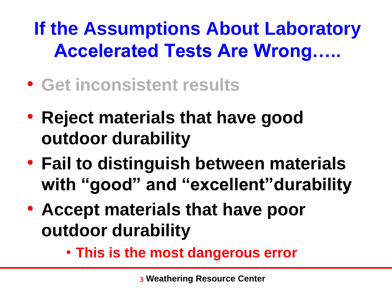**If the Assumptions About Laboratory Accelerated Tests Are Wrong…..**

- **Get inconsistent results**
- **Reject materials that have good outdoor durability**
- **Fail to distinguish between materials with "good" and "excellent"durability**
- **Accept materials that have poor outdoor durability**
	- **This is the most dangerous error**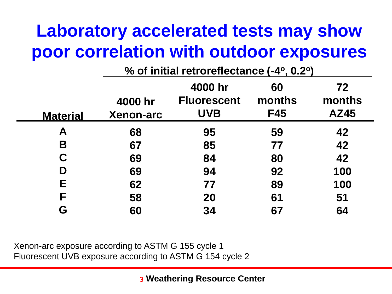#### **Laboratory accelerated tests may show poor correlation with outdoor exposures**

|                 | % of initial retroreflectance (-4°, 0.2°) |                    |            |             |
|-----------------|-------------------------------------------|--------------------|------------|-------------|
|                 |                                           | 4000 hr            | 60         | 72          |
|                 | 4000 hr                                   | <b>Fluorescent</b> | months     | months      |
| <b>Material</b> | <b>Xenon-arc</b>                          | <b>UVB</b>         | <b>F45</b> | <b>AZ45</b> |
| A               | 68                                        | 95                 | 59         | 42          |
| B               | 67                                        | 85                 | 77         | 42          |
| C               | 69                                        | 84                 | 80         | 42          |
| D               | 69                                        | 94                 | 92         | 100         |
| Е               | 62                                        | 77                 | 89         | 100         |
| F               | 58                                        | <b>20</b>          | 61         | 51          |
| G               | 60                                        | 34                 | 67         | 64          |

Xenon-arc exposure according to ASTM G 155 cycle 1 Fluorescent UVB exposure according to ASTM G 154 cycle 2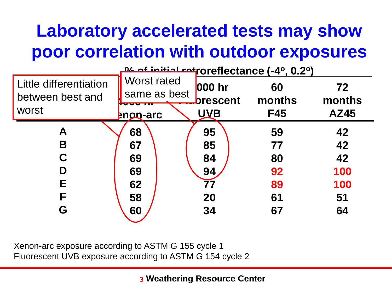### **Laboratory accelerated tests may show poor correlation with outdoor exposures**

|                                            | <b>24 of initial ratroreflectance (-4°, 0.2°)</b> |                           |              |              |
|--------------------------------------------|---------------------------------------------------|---------------------------|--------------|--------------|
| Little differentiation<br>between best and | <b>Worst rated</b><br>same as best                | 000 hr<br><b>brescent</b> | 60<br>months | 72<br>months |
| worst                                      | -------<br><b>Pnon-arc</b>                        | <b>UVB</b>                | <b>F45</b>   | <b>AZ45</b>  |
| A                                          | 68                                                | 95                        | 59           | 42           |
| B                                          | 67                                                | 85                        | 77           | 42           |
| C                                          | 69                                                | 84                        | 80           | 42           |
| D                                          | 69                                                | 94                        | 92           | 100          |
| Е                                          | 62                                                | 77                        | 89           | 100          |
| F                                          | 58                                                | 20                        | 61           | 51           |
| G                                          | 60                                                | 34                        | 67           | 64           |

Xenon-arc exposure according to ASTM G 155 cycle 1 Fluorescent UVB exposure according to ASTM G 154 cycle 2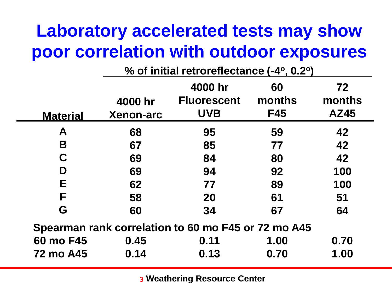#### **Laboratory accelerated tests may show poor correlation with outdoor exposures**

|                                                     | % of initial retroreflectance (-4°, 0.2°) |                    |            |             |
|-----------------------------------------------------|-------------------------------------------|--------------------|------------|-------------|
|                                                     |                                           | 4000 hr            | 60         | 72          |
|                                                     | 4000 hr                                   | <b>Fluorescent</b> | months     | months      |
| <b>Material</b>                                     | <b>Xenon-arc</b>                          | <b>UVB</b>         | <b>F45</b> | <b>AZ45</b> |
| A                                                   | 68                                        | 95                 | 59         | 42          |
| B                                                   | 67                                        | 85                 | 77         | 42          |
| C                                                   | 69                                        | 84                 | 80         | 42          |
| D                                                   | 69                                        | 94                 | 92         | 100         |
| E                                                   | 62                                        | 77                 | 89         | 100         |
| F                                                   | 58                                        | <b>20</b>          | 61         | 51          |
| G                                                   | 60                                        | 34                 | 67         | 64          |
| Spearman rank correlation to 60 mo F45 or 72 mo A45 |                                           |                    |            |             |
| 60 mo F45                                           | 0.45                                      | 0.11               | 1.00       | 0.70        |
| <b>72 mo A45</b>                                    | 0.14                                      | 0.13               | 0.70       | 1.00        |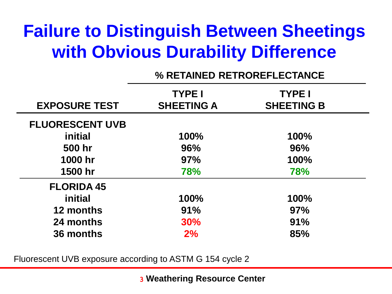#### **Failure to Distinguish Between Sheetings with Obvious Durability Difference**

#### **% RETAINED RETROREFLECTANCE**

| <b>EXPOSURE TEST</b>   | <b>TYPE I</b><br><b>SHEETING A</b> | <b>TYPE I</b><br><b>SHEETING B</b> |
|------------------------|------------------------------------|------------------------------------|
| <b>FLUORESCENT UVB</b> |                                    |                                    |
| initial                | 100%                               | 100%                               |
| 500 hr                 | 96%                                | 96%                                |
| 1000 hr                | 97%                                | 100%                               |
| 1500 hr                | <b>78%</b>                         | <b>78%</b>                         |
| <b>FLORIDA 45</b>      |                                    |                                    |
| <i>initial</i>         | 100%                               | 100%                               |
| 12 months              | 91%                                | 97%                                |
| 24 months              | 30%                                | 91%                                |
| 36 months              | 2%                                 | 85%                                |

Fluorescent UVB exposure according to ASTM G 154 cycle 2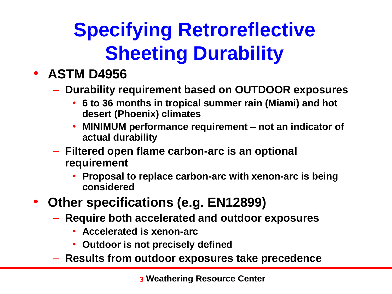### **Specifying Retroreflective Sheeting Durability**

#### • **ASTM D4956**

– **Durability requirement based on OUTDOOR exposures**

- **6 to 36 months in tropical summer rain (Miami) and hot desert (Phoenix) climates**
- **MINIMUM performance requirement – not an indicator of actual durability**
- **Filtered open flame carbon-arc is an optional requirement**
	- **Proposal to replace carbon-arc with xenon-arc is being considered**
- **Other specifications (e.g. EN12899)**
	- **Require both accelerated and outdoor exposures**
		- **Accelerated is xenon-arc**
		- **Outdoor is not precisely defined**
	- **Results from outdoor exposures take precedence**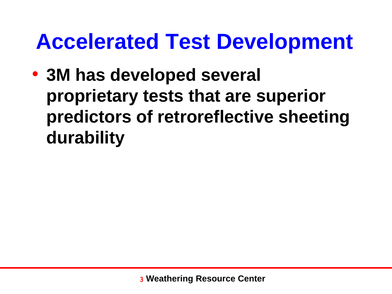### **Accelerated Test Development**

• **3M has developed several proprietary tests that are superior predictors of retroreflective sheeting durability**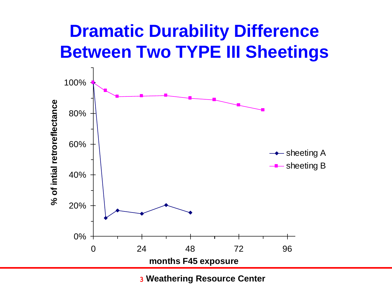#### **Dramatic Durability Difference Between Two TYPE III Sheetings**

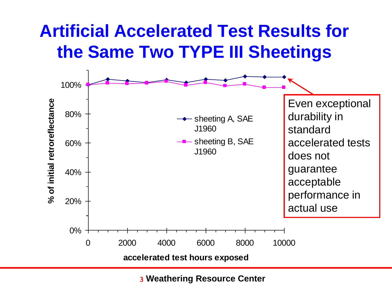### **Artificial Accelerated Test Results for the Same Two TYPE III Sheetings**

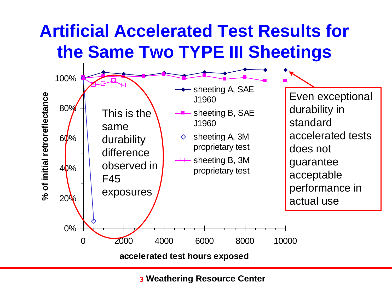### **Artificial Accelerated Test Results for the Same Two TYPE III Sheetings**

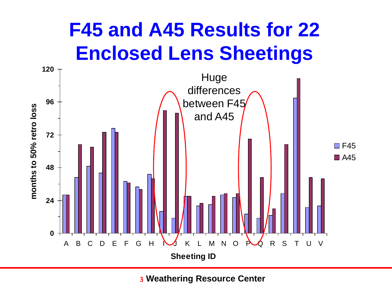### **F45 and A45 Results for 22 Enclosed Lens Sheetings**

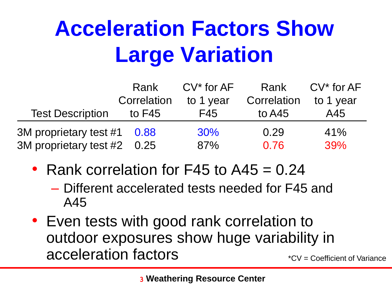# **Acceleration Factors Show Large Variation**

|                             | Rank        | $CV^*$ for $AF$ | Rank        | $CV^*$ for $AF$ |
|-----------------------------|-------------|-----------------|-------------|-----------------|
|                             | Correlation | to 1 year       | Correlation | to 1 year       |
| <b>Test Description</b>     | to $F45$    | F45             | to $A45$    | A45             |
| 3M proprietary test #1 0.88 |             | $30\%$          | 0.29        | 41%             |
| 3M proprietary test #2 0.25 |             | 87%             | 0.76        | 39%             |

- Rank correlation for  $F45$  to  $A45 = 0.24$ 
	- Different accelerated tests needed for F45 and A45
- Even tests with good rank correlation to outdoor exposures show huge variability in acceleration factors \*CV = Coefficient of Variance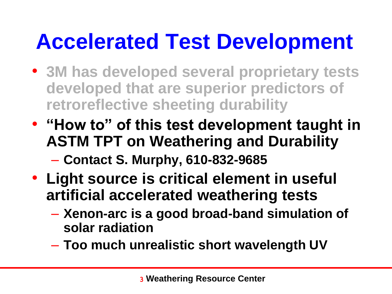## **Accelerated Test Development**

- **3M has developed several proprietary tests developed that are superior predictors of retroreflective sheeting durability**
- **"How to" of this test development taught in ASTM TPT on Weathering and Durability**
	- **Contact S. Murphy, 610-832-9685**
- **Light source is critical element in useful artificial accelerated weathering tests**
	- **Xenon-arc is a good broad-band simulation of solar radiation**
	- **Too much unrealistic short wavelength UV**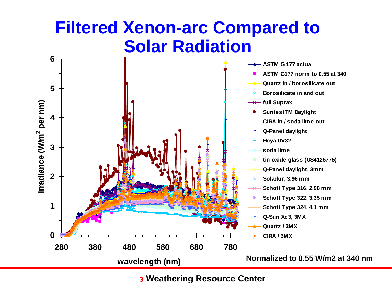#### **Filtered Xenon-arc Compared to Solar Radiation**

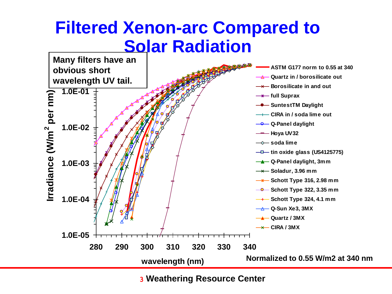#### **Filtered Xenon-arc Compared to Solar Radiation**

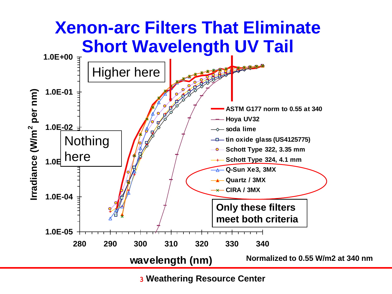#### **Xenon-arc Filters That Eliminate Short Wavelength UV Tail**

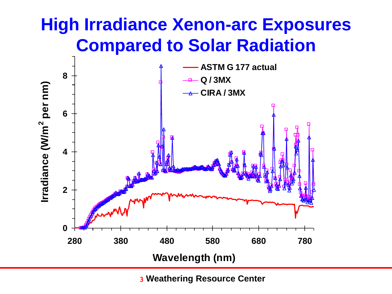#### **High Irradiance Xenon-arc Exposures Compared to Solar Radiation**

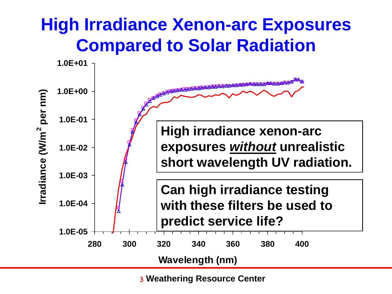#### **High Irradiance Xenon-arc Exposures Compared to Solar Radiation**

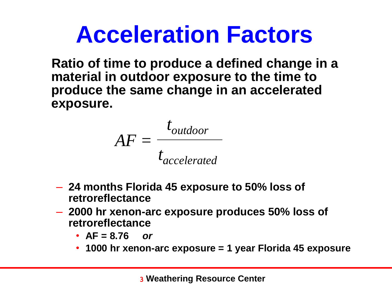# **Acceleration Factors**

**Ratio of time to produce a defined change in a material in outdoor exposure to the time to produce the same change in an accelerated exposure.**

$$
AF = \frac{t_{outdoor}}{t_{accelerated}}
$$

- **24 months Florida 45 exposure to 50% loss of retroreflectance**
- **2000 hr xenon-arc exposure produces 50% loss of retroreflectance**
	- **AF = 8.76** *or*
	- **1000 hr xenon-arc exposure = 1 year Florida 45 exposure**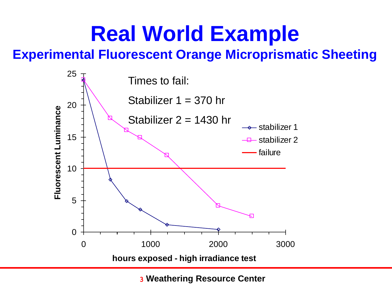### **Real World Example**

#### **Experimental Fluorescent Orange Microprismatic Sheeting**

![](_page_37_Figure_2.jpeg)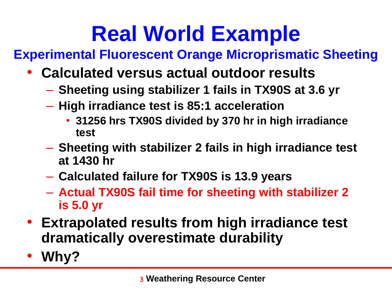## **Real World Example**

**Experimental Fluorescent Orange Microprismatic Sheeting**

- **Calculated versus actual outdoor results**
	- **Sheeting using stabilizer 1 fails in TX90S at 3.6 yr**
	- **High irradiance test is 85:1 acceleration**
		- **31256 hrs TX90S divided by 370 hr in high irradiance test**
	- **Sheeting with stabilizer 2 fails in high irradiance test at 1430 hr**
	- **Calculated failure for TX90S is 13.9 years**
	- **Actual TX90S fail time for sheeting with stabilizer 2 is 5.0 yr**
- **Extrapolated results from high irradiance test dramatically overestimate durability**
- **Why?**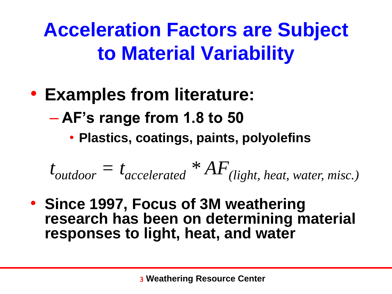### **Acceleration Factors are Subject to Material Variability**

- **Examples from literature:**
	- **AF's range from 1.8 to 50**
		- **Plastics, coatings, paints, polyolefins**

 $t_{outdoor} = t_{accelerated} * AF_{(light, heat, water, mixc.)}$ 

• **Since 1997, Focus of 3M weathering research has been on determining material responses to light, heat, and water**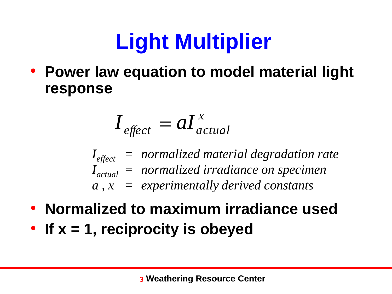# **Light Multiplier**

• **Power law equation to model material light response**

$$
I_{\text{effect}} = aI_{\text{actual}}^x
$$

*Ieffect = normalized material degradation rate Iactual = normalized irradiance on specimen a , x = experimentally derived constants*

- **Normalized to maximum irradiance used**
- **If x = 1, reciprocity is obeyed**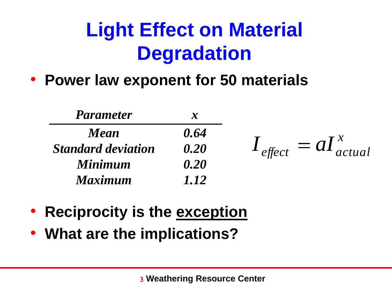### **Light Effect on Material Degradation**

• **Power law exponent for 50 materials**

| <b>Parameter</b>          | $\boldsymbol{\mathcal{X}}$ |                                            |
|---------------------------|----------------------------|--------------------------------------------|
| <b>Mean</b>               | 0.64                       |                                            |
| <b>Standard deviation</b> | 0.20                       | $I_{\text{effect}} = aI_{\text{actual}}^x$ |
| <b>Minimum</b>            | 0.20                       |                                            |
| <b>Maximum</b>            | 1.12                       |                                            |

- **Reciprocity is the exception**
- **What are the implications?**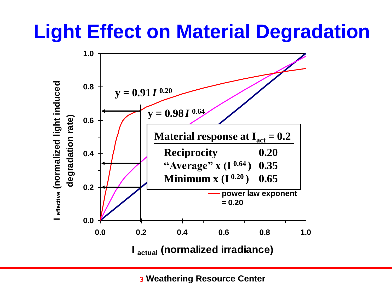### **Light Effect on Material Degradation**

![](_page_42_Figure_1.jpeg)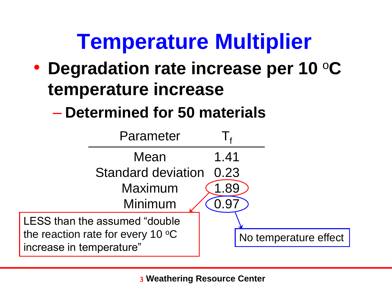### **Temperature Multiplier**

- **Degradation rate increase per 10** <sup>o</sup>**C temperature increase**
	- **Determined for 50 materials**

![](_page_43_Figure_3.jpeg)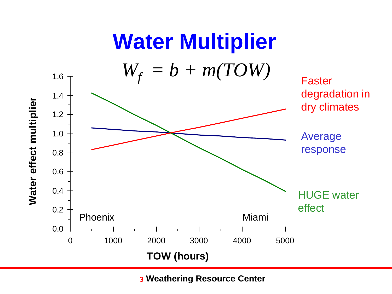![](_page_44_Figure_0.jpeg)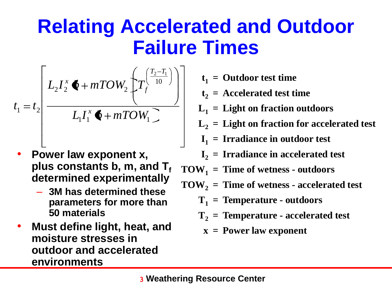### **Relating Accelerated and Outdoor Failure Times**

$$
t_1 = t_2 \left[ \frac{L_2 I_2^x \cdot \cdot + mTOW_2 \cdot \left( T_f^{\left( \frac{T_2 - T_1}{10} \right)} \right)}{L_1 I_1^x \cdot \cdot + mTOW_1} \right]
$$

- **Power law exponent x, plus constants b, m, and T<sup>f</sup> determined experimentally**
	- **3M has determined these parameters for more than 50 materials**
- **Must define light, heat, and moisture stresses in outdoor and accelerated environments**
- **t1 = Outdoor test time**
- **t2 = Accelerated test time**
- **L1 = Light on fraction outdoors**
- **L2 = Light on fraction for accelerated test**
- **I1 = Irradiance in outdoor test**
- **I2 = Irradiance in accelerated test**
- $TOW_1 = Time of wetness outdoors$
- **TOW<sup>2</sup> = Time of wetness - accelerated test**
	- **T1 = Temperature - outdoors**
	- **T2 = Temperature - accelerated test**
		- **x = Power law exponent**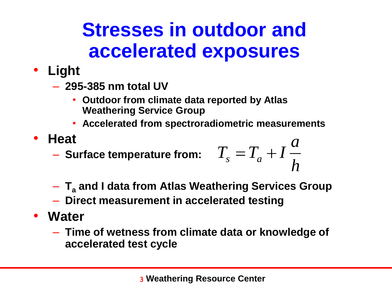### **Stresses in outdoor and accelerated exposures**

- **Light**
	- **295-385 nm total UV**
		- **Outdoor from climate data reported by Atlas Weathering Service Group**
		- **Accelerated from spectroradiometric measurements**
- **Heat**
	- **Surface temperature from:**

$$
T_s = T_a + I \frac{a}{h}
$$

- **T<sup>a</sup> and I data from Atlas Weathering Services Group**
- **Direct measurement in accelerated testing**
- **Water**
	- **Time of wetness from climate data or knowledge of accelerated test cycle**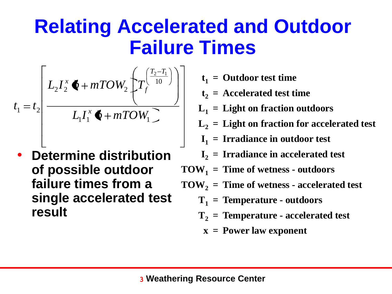### **Relating Accelerated and Outdoor Failure Times**

$$
t_1 = t_2 \left| \frac{L_2 I_2^x \cdot \cdot + mTOW_2 \cdot \left\{ T_f^{\left( \frac{T_2 - T_1}{10} \right)} \right\}}{L_1 I_1^x \cdot \cdot + mTOW_1 \cdot \cdot} \right|
$$

• **Determine distribution of possible outdoor failure times from a single accelerated test result**

- **t1 = Outdoor test time**
- **t2 = Accelerated test time**
- **L1 = Light on fraction outdoors**
- **L2 = Light on fraction for accelerated test**
- **I1 = Irradiance in outdoor test**
- **I2 = Irradiance in accelerated test**
- $TOW_1 = Time of wetness outdoors$
- **TOW<sup>2</sup> = Time of wetness - accelerated test**
	- **T1 = Temperature - outdoors**
	- **T2 = Temperature - accelerated test**
		- **x = Power law exponent**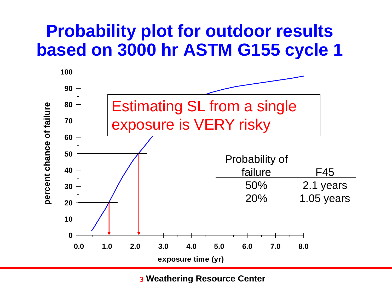#### **Probability plot for outdoor results based on 3000 hr ASTM G155 cycle 1**

![](_page_48_Figure_1.jpeg)